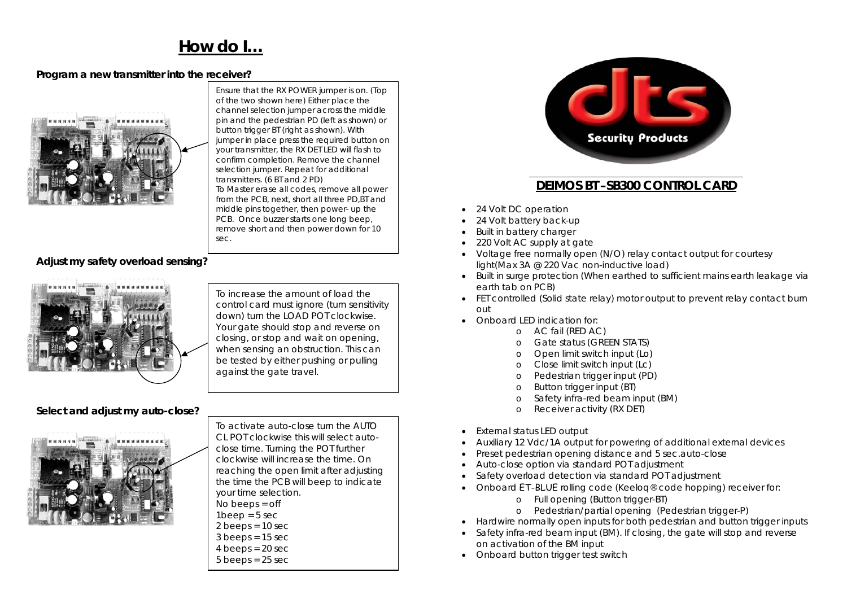# **How do I…**

### **Program a new transmitter into the receiver?**



Ensure that the RX POWER jumper is on. (Top of the two shown here) Either place the channel selection jumper across the middle pin and the pedestrian PD (left as shown) or button trigger BT (right as shown). With jumper in place press the required button on your transmitter, the RX DET LED will flash to confirm completion. Remove the channel selection jumper. Repeat for additional transmitters. (6 BT and 2 PD) To Master erase all codes, remove all power from the PCB, next, short all three PD,BT and middle pins together, then power- up the PCB. Once buzzer starts one long beep, remove short and then power down for 10 sec.

#### **Adjust my safety overload sensing?**



To increase the amount of load the control card must ignore (turn sensitivity down) turn the LOAD POT clockwise. Your gate should stop and reverse on closing, or stop and wait on opening, when sensing an obstruction. This can be tested by either pushing or pulling against the gate travel.

#### **Select and adjust my auto-close?**



To activate auto-close turn the AUTO CL POT clockwise this will select autoclose time. Turning the POT further clockwise will increase the time. On reaching the open limit after adjusting the time the PCB will beep to indicate your time selection. No beeps = off

- $1$ beep =  $5$  sec
- $2$  beeps = 10 sec
- $3$  beeps = 15 sec
- $4$  beeps = 20 sec
- $5$  beeps = 25 sec



## **DEIMOS BT –SB300 CONTROL CARD**

- 24 Volt DC operation
- 24 Volt battery back-up
- •Built in battery charger
- •220 Volt AC supply at gate
- Voltage free normally open (N/O) relay contact output for courtesy light(Max 3A @ 220 Vac non-inductive load)
- Built in surge protection (When earthed to sufficient mains earth leakage via earth tab on PCB)
- FET controlled (Solid state relay) motor output to prevent relay contact burn out
- Onboard LED indication for:
	- o AC fail (RED AC)
	- oGate status (GREEN STATS)
	- o Open limit switch input (Lo)
	- oClose limit switch input (Lc)
	- oPedestrian trigger input (PD)
	- oButton trigger input (BT)
	- oSafety infra-red beam input (BM)
	- oReceiver activity (RX DET)
- •External status LED output
- •Auxiliary 12 Vdc/1A output for powering of additional external devices
- •Preset pedestrian opening distance and 5 sec.auto-close
- •Auto-close option via standard POT adjustment
- •Safety overload detection via standard POT adjustment
- Onboard ET-BLUE rolling code (Keeloq® code hopping) receiver for:
	- o Full opening (Button trigger-BT)
	- o Pedestrian/partial opening (Pedestrian trigger-P)
- Hardwire normally open inputs for both pedestrian and button trigger inputs
- Safety infra-red beam input (BM). If closing, the gate will stop and reverse on activation of the BM input
- Onboard button trigger test switch